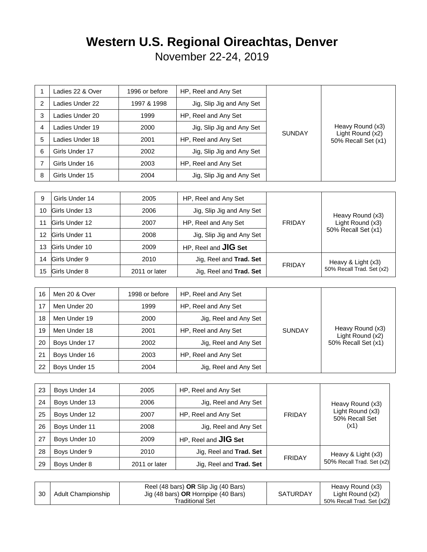## **Western U.S. Regional Oireachtas, Denver**

November 22-24, 2019

|   | Ladies 22 & Over | 1996 or before | HP, Reel and Any Set      | <b>SUNDAY</b> | Heavy Round (x3)<br>Light Round (x2)<br>50% Recall Set (x1) |
|---|------------------|----------------|---------------------------|---------------|-------------------------------------------------------------|
| 2 | Ladies Under 22  | 1997 & 1998    | Jig, Slip Jig and Any Set |               |                                                             |
| 3 | Ladies Under 20  | 1999           | HP, Reel and Any Set      |               |                                                             |
| 4 | Ladies Under 19  | 2000           | Jig, Slip Jig and Any Set |               |                                                             |
| 5 | Ladies Under 18  | 2001           | HP, Reel and Any Set      |               |                                                             |
| 6 | Girls Under 17   | 2002           | Jig, Slip Jig and Any Set |               |                                                             |
|   | Girls Under 16   | 2003           | HP, Reel and Any Set      |               |                                                             |
| 8 | Girls Under 15   | 2004           | Jig, Slip Jig and Any Set |               |                                                             |

| 9  | Girls Under 14        | 2005          | HP, Reel and Any Set        | <b>FRIDAY</b> | Heavy Round (x3)<br>Light Round (x3)<br>50% Recall Set (x1) |
|----|-----------------------|---------------|-----------------------------|---------------|-------------------------------------------------------------|
| 10 | Girls Under 13        | 2006          | Jig, Slip Jig and Any Set   |               |                                                             |
| 11 | <b>Girls Under 12</b> | 2007          | HP, Reel and Any Set        |               |                                                             |
| 12 | Girls Under 11        | 2008          | Jig, Slip Jig and Any Set   |               |                                                             |
| 13 | Girls Under 10        | 2009          | HP, Reel and <b>JIG Set</b> |               |                                                             |
| 14 | Girls Under 9         | 2010          | Jig, Reel and Trad. Set     |               | Heavy & Light (x3)                                          |
| 15 | Girls Under 8         | 2011 or later | Jig, Reel and Trad. Set     | <b>FRIDAY</b> | 50% Recall Trad. Set (x2)                                   |

| 16 | Men 20 & Over | 1998 or before | HP, Reel and Any Set  | <b>SUNDAY</b> | Heavy Round (x3)<br>Light Round (x2)<br>50% Recall Set (x1) |
|----|---------------|----------------|-----------------------|---------------|-------------------------------------------------------------|
| 17 | Men Under 20  | 1999           | HP, Reel and Any Set  |               |                                                             |
| 18 | Men Under 19  | 2000           | Jig, Reel and Any Set |               |                                                             |
| 19 | Men Under 18  | 2001           | HP, Reel and Any Set  |               |                                                             |
| 20 | Boys Under 17 | 2002           | Jig, Reel and Any Set |               |                                                             |
| 21 | Boys Under 16 | 2003           | HP, Reel and Any Set  |               |                                                             |
| 22 | Boys Under 15 | 2004           | Jig, Reel and Any Set |               |                                                             |

| 23 | Boys Under 14 | 2005          | HP, Reel and Any Set        | <b>FRIDAY</b> | Heavy Round (x3)<br>Light Round (x3)<br>50% Recall Set |
|----|---------------|---------------|-----------------------------|---------------|--------------------------------------------------------|
| 24 | Boys Under 13 | 2006          | Jig, Reel and Any Set       |               |                                                        |
| 25 | Boys Under 12 | 2007          | HP, Reel and Any Set        |               |                                                        |
| 26 | Boys Under 11 | 2008          | Jig, Reel and Any Set       |               | (x1)                                                   |
| 27 | Boys Under 10 | 2009          | HP, Reel and <b>JIG Set</b> |               |                                                        |
| 28 | Boys Under 9  | 2010          | Jig, Reel and Trad. Set     |               | Heavy & Light (x3)                                     |
| 29 | Boys Under 8  | 2011 or later | Jig, Reel and Trad. Set     | <b>FRIDAY</b> | 50% Recall Trad. Set (x2)                              |

| 30 | Adult Championship | Reel (48 bars) <b>OR</b> Slip Jig (40 Bars)<br>Jig (48 bars) OR Hornpipe (40 Bars)<br>Traditional Set | <b>SATURDAY</b> | Heavy Round (x3)<br>Light Round (x2)<br>50% Recall Trad. Set (x2) |
|----|--------------------|-------------------------------------------------------------------------------------------------------|-----------------|-------------------------------------------------------------------|
|----|--------------------|-------------------------------------------------------------------------------------------------------|-----------------|-------------------------------------------------------------------|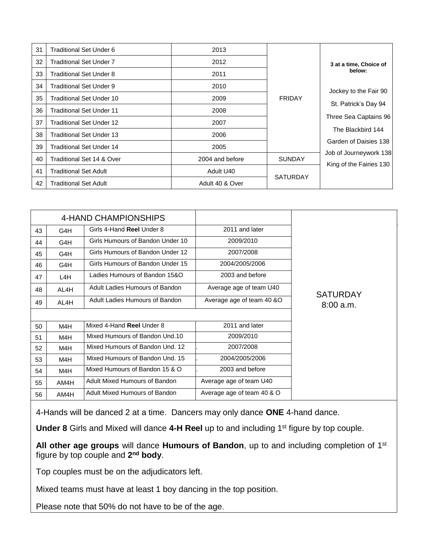| 31 | Traditional Set Under 6         | 2013            |                 |                                                   |
|----|---------------------------------|-----------------|-----------------|---------------------------------------------------|
| 32 | Traditional Set Under 7         | 2012            |                 | 3 at a time, Choice of                            |
| 33 | <b>Traditional Set Under 8</b>  | 2011            |                 | below:                                            |
| 34 | Traditional Set Under 9         | 2010            |                 | Jockey to the Fair 90                             |
| 35 | Traditional Set Under 10        | 2009            | <b>FRIDAY</b>   | St. Patrick's Day 94                              |
| 36 | Traditional Set Under 11        | 2008            |                 |                                                   |
| 37 | Traditional Set Under 12        | 2007            |                 | Three Sea Captains 96                             |
| 38 | <b>Traditional Set Under 13</b> | 2006            |                 | The Blackbird 144<br>Garden of Daisies 138        |
| 39 | Traditional Set Under 14        | 2005            |                 |                                                   |
| 40 | Traditional Set 14 & Over       | 2004 and before | <b>SUNDAY</b>   | Job of Journeywork 138<br>King of the Fairies 130 |
| 41 | Traditional Set Adult           | Adult U40       |                 |                                                   |
| 42 | <b>Traditional Set Adult</b>    | Adult 40 & Over | <b>SATURDAY</b> |                                                   |

|    |      | 4-HAND CHAMPIONSHIPS             |                            |                 |
|----|------|----------------------------------|----------------------------|-----------------|
| 43 | G4H  | Girls 4-Hand Reel Under 8        | 2011 and later             |                 |
| 44 | G4H  | Girls Humours of Bandon Under 10 | 2009/2010                  |                 |
| 45 | G4H  | Girls Humours of Bandon Under 12 | 2007/2008                  |                 |
| 46 | G4H  | Girls Humours of Bandon Under 15 | 2004/2005/2006             |                 |
| 47 | L4H  | Ladies Humours of Bandon 15&O    | 2003 and before            |                 |
| 48 | AL4H | Adult Ladies Humours of Bandon   | Average age of team U40    | <b>SATURDAY</b> |
| 49 | AL4H | Adult Ladies Humours of Bandon   | Average age of team 40 &O  | $8:00$ a.m.     |
|    |      |                                  |                            |                 |
| 50 | M4H  | Mixed 4-Hand Reel Under 8        | 2011 and later             |                 |
| 51 | M4H  | Mixed Humours of Bandon Und.10   | 2009/2010                  |                 |
| 52 | M4H  | Mixed Humours of Bandon Und. 12  | 2007/2008                  |                 |
| 53 | M4H  | Mixed Humours of Bandon Und. 15  | 2004/2005/2006             |                 |
| 54 | M4H  | Mixed Humours of Bandon 15 & O   | 2003 and before            |                 |
| 55 | AM4H | Adult Mixed Humours of Bandon    | Average age of team U40    |                 |
| 56 | AM4H | Adult Mixed Humours of Bandon    | Average age of team 40 & O |                 |

4-Hands will be danced 2 at a time. Dancers may only dance **ONE** 4-hand dance.

**Under 8** Girls and Mixed will dance 4-H Reel up to and including 1<sup>st</sup> figure by top couple.

**All other age groups** will dance **Humours of Bandon**, up to and including completion of 1st figure by top couple and 2<sup>nd</sup> body.

Top couples must be on the adjudicators left.

Mixed teams must have at least 1 boy dancing in the top position.

Please note that 50% do not have to be of the age.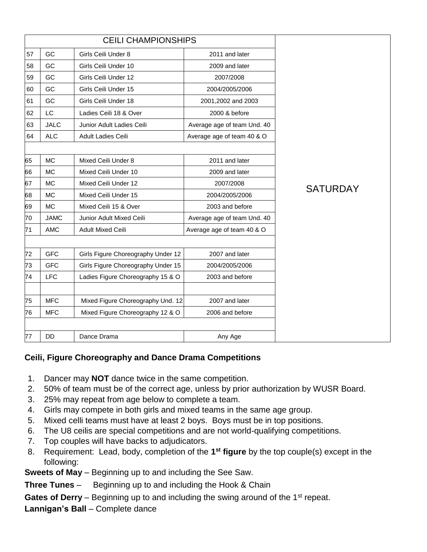|    |             | <b>CEILI CHAMPIONSHIPS</b>         |                             |                 |
|----|-------------|------------------------------------|-----------------------------|-----------------|
| 57 | GC          | Girls Ceili Under 8                | 2011 and later              |                 |
| 58 | GC          | Girls Ceili Under 10               | 2009 and later              |                 |
| 59 | GC          | Girls Ceili Under 12               | 2007/2008                   |                 |
| 60 | GC          | Girls Ceili Under 15               | 2004/2005/2006              |                 |
| 61 | GC          | Girls Ceili Under 18               | 2001,2002 and 2003          |                 |
| 62 | LC          | Ladies Ceili 18 & Over             | 2000 & before               |                 |
| 63 | <b>JALC</b> | Junior Adult Ladies Ceili          | Average age of team Und. 40 |                 |
| 64 | <b>ALC</b>  | Adult Ladies Ceili                 | Average age of team 40 & O  |                 |
|    |             |                                    |                             |                 |
| 65 | <b>MC</b>   | Mixed Ceili Under 8                | 2011 and later              |                 |
| 66 | <b>MC</b>   | Mixed Ceili Under 10               | 2009 and later              |                 |
| 67 | <b>MC</b>   | Mixed Ceili Under 12               | 2007/2008                   | <b>SATURDAY</b> |
| 68 | <b>MC</b>   | Mixed Ceili Under 15               | 2004/2005/2006              |                 |
| 69 | <b>MC</b>   | Mixed Ceili 15 & Over              | 2003 and before             |                 |
| 70 | <b>JAMC</b> | Junior Adult Mixed Ceili           | Average age of team Und. 40 |                 |
| 71 | <b>AMC</b>  | <b>Adult Mixed Ceili</b>           | Average age of team 40 & O  |                 |
|    |             |                                    |                             |                 |
| 72 | <b>GFC</b>  | Girls Figure Choreography Under 12 | 2007 and later              |                 |
| 73 | <b>GFC</b>  | Girls Figure Choreography Under 15 | 2004/2005/2006              |                 |
| 74 | <b>LFC</b>  | Ladies Figure Choreography 15 & O  | 2003 and before             |                 |
|    |             |                                    |                             |                 |
| 75 | <b>MFC</b>  | Mixed Figure Choreography Und. 12  | 2007 and later              |                 |
| 76 | <b>MFC</b>  | Mixed Figure Choreography 12 & O   | 2006 and before             |                 |
|    |             |                                    |                             |                 |
| 77 | <b>DD</b>   | Dance Drama                        | Any Age                     |                 |

## **Ceili, Figure Choreography and Dance Drama Competitions**

- 1. Dancer may **NOT** dance twice in the same competition.
- 2. 50% of team must be of the correct age, unless by prior authorization by WUSR Board.
- 3. 25% may repeat from age below to complete a team.
- 4. Girls may compete in both girls and mixed teams in the same age group.
- 5. Mixed celli teams must have at least 2 boys. Boys must be in top positions.
- 6. The U8 ceilis are special competitions and are not world-qualifying competitions.
- 7. Top couples will have backs to adjudicators.
- 8. Requirement: Lead, body, completion of the **1 st figure** by the top couple(s) except in the following:

**Sweets of May** – Beginning up to and including the See Saw.

**Three Tunes** – Beginning up to and including the Hook & Chain

**Gates of Derry** – Beginning up to and including the swing around of the 1<sup>st</sup> repeat.

**Lannigan's Ball** – Complete dance